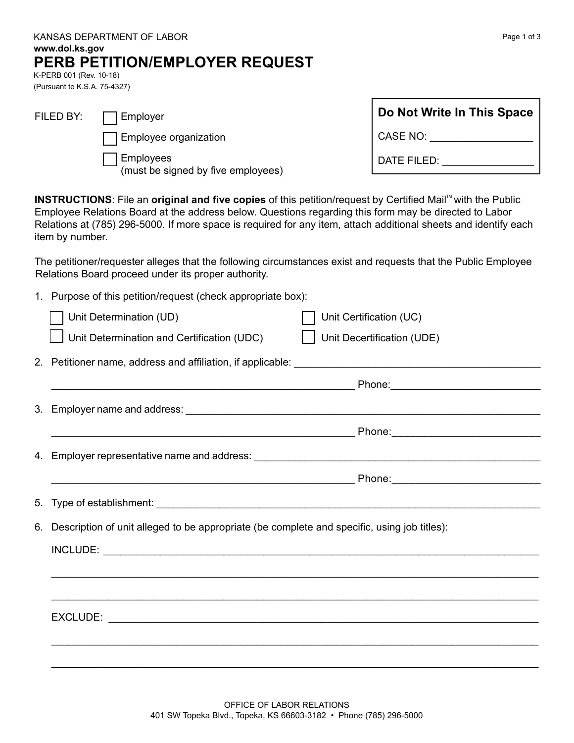|                                                                   | www.dol.ks.gov                                                                                                                                                                                                                 | KANSAS DEPARTMENT OF LABOR                                                                                                                                                                                                                                                                                                             | Page 1 of 3                |                                                                                                                                                                                                                                |  |  |  |
|-------------------------------------------------------------------|--------------------------------------------------------------------------------------------------------------------------------------------------------------------------------------------------------------------------------|----------------------------------------------------------------------------------------------------------------------------------------------------------------------------------------------------------------------------------------------------------------------------------------------------------------------------------------|----------------------------|--------------------------------------------------------------------------------------------------------------------------------------------------------------------------------------------------------------------------------|--|--|--|
|                                                                   | K-PERB 001 (Rev. 10-18)                                                                                                                                                                                                        | PERB PETITION/EMPLOYER REQUEST                                                                                                                                                                                                                                                                                                         |                            |                                                                                                                                                                                                                                |  |  |  |
|                                                                   | (Pursuant to K.S.A. 75-4327)                                                                                                                                                                                                   |                                                                                                                                                                                                                                                                                                                                        |                            |                                                                                                                                                                                                                                |  |  |  |
|                                                                   | FILED BY:                                                                                                                                                                                                                      | Employer                                                                                                                                                                                                                                                                                                                               |                            | Do Not Write In This Space                                                                                                                                                                                                     |  |  |  |
|                                                                   |                                                                                                                                                                                                                                | Employee organization                                                                                                                                                                                                                                                                                                                  |                            | CASE NO: ____________________                                                                                                                                                                                                  |  |  |  |
|                                                                   |                                                                                                                                                                                                                                | Employees<br>(must be signed by five employees)                                                                                                                                                                                                                                                                                        |                            | DATE FILED: NATE THE RESERVE THE RESERVE THE RESERVE THE RESERVE THE RESERVE THE RESERVE THE RESERVE THE RESERVE THE RESERVE THE RESERVE THE RESERVE THE RESERVE THE RESERVE THAT RESPECT THE RESPECT OF THE RESPECT OF THE RE |  |  |  |
|                                                                   | item by number.                                                                                                                                                                                                                | INSTRUCTIONS: File an original and five copies of this petition/request by Certified Mail™ with the Public<br>Employee Relations Board at the address below. Questions regarding this form may be directed to Labor<br>Relations at (785) 296-5000. If more space is required for any item, attach additional sheets and identify each |                            |                                                                                                                                                                                                                                |  |  |  |
|                                                                   |                                                                                                                                                                                                                                | The petitioner/requester alleges that the following circumstances exist and requests that the Public Employee<br>Relations Board proceed under its proper authority.                                                                                                                                                                   |                            |                                                                                                                                                                                                                                |  |  |  |
| 1.                                                                | Purpose of this petition/request (check appropriate box):                                                                                                                                                                      |                                                                                                                                                                                                                                                                                                                                        |                            |                                                                                                                                                                                                                                |  |  |  |
|                                                                   |                                                                                                                                                                                                                                | Unit Determination (UD)                                                                                                                                                                                                                                                                                                                | Unit Certification (UC)    |                                                                                                                                                                                                                                |  |  |  |
|                                                                   |                                                                                                                                                                                                                                | Unit Determination and Certification (UDC)                                                                                                                                                                                                                                                                                             | Unit Decertification (UDE) |                                                                                                                                                                                                                                |  |  |  |
| 2. Petitioner name, address and affiliation, if applicable: _____ |                                                                                                                                                                                                                                |                                                                                                                                                                                                                                                                                                                                        |                            |                                                                                                                                                                                                                                |  |  |  |
|                                                                   |                                                                                                                                                                                                                                |                                                                                                                                                                                                                                                                                                                                        | Phone:                     |                                                                                                                                                                                                                                |  |  |  |
| 3.                                                                | Employer name and address:                                                                                                                                                                                                     |                                                                                                                                                                                                                                                                                                                                        |                            |                                                                                                                                                                                                                                |  |  |  |
|                                                                   | Phone:                                                                                                                                                                                                                         |                                                                                                                                                                                                                                                                                                                                        |                            |                                                                                                                                                                                                                                |  |  |  |
|                                                                   | 4. Employer representative name and address: Name and and any state of the state of the state of the state of the state of the state of the state of the state of the state of the state of the state of the state of the stat |                                                                                                                                                                                                                                                                                                                                        |                            |                                                                                                                                                                                                                                |  |  |  |
|                                                                   |                                                                                                                                                                                                                                |                                                                                                                                                                                                                                                                                                                                        |                            |                                                                                                                                                                                                                                |  |  |  |
| 5.                                                                |                                                                                                                                                                                                                                |                                                                                                                                                                                                                                                                                                                                        |                            |                                                                                                                                                                                                                                |  |  |  |
| 6.                                                                | Description of unit alleged to be appropriate (be complete and specific, using job titles):                                                                                                                                    |                                                                                                                                                                                                                                                                                                                                        |                            |                                                                                                                                                                                                                                |  |  |  |
|                                                                   |                                                                                                                                                                                                                                |                                                                                                                                                                                                                                                                                                                                        |                            |                                                                                                                                                                                                                                |  |  |  |
|                                                                   |                                                                                                                                                                                                                                |                                                                                                                                                                                                                                                                                                                                        |                            |                                                                                                                                                                                                                                |  |  |  |
|                                                                   |                                                                                                                                                                                                                                |                                                                                                                                                                                                                                                                                                                                        |                            |                                                                                                                                                                                                                                |  |  |  |
|                                                                   |                                                                                                                                                                                                                                |                                                                                                                                                                                                                                                                                                                                        |                            |                                                                                                                                                                                                                                |  |  |  |
|                                                                   |                                                                                                                                                                                                                                |                                                                                                                                                                                                                                                                                                                                        |                            |                                                                                                                                                                                                                                |  |  |  |
|                                                                   |                                                                                                                                                                                                                                |                                                                                                                                                                                                                                                                                                                                        |                            |                                                                                                                                                                                                                                |  |  |  |

\_\_\_\_\_\_\_\_\_\_\_\_\_\_\_\_\_\_\_\_\_\_\_\_\_\_\_\_\_\_\_\_\_\_\_\_\_\_\_\_\_\_\_\_\_\_\_\_\_\_\_\_\_\_\_\_\_\_\_\_\_\_\_\_\_\_\_\_\_\_\_\_\_\_\_\_\_\_\_\_\_\_\_\_\_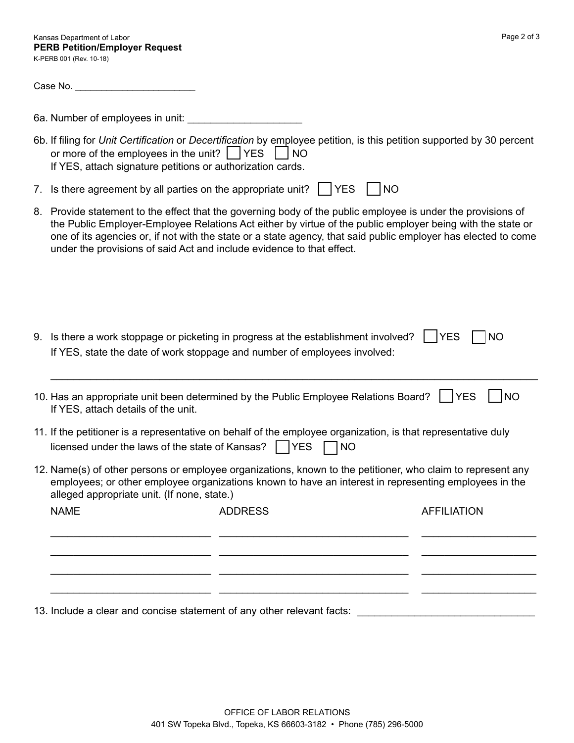Case No. \_\_\_\_\_\_\_\_\_\_\_\_\_\_\_\_\_\_\_\_\_\_\_

6a. Number of employees in unit: \_\_\_\_\_\_\_\_\_\_\_\_\_\_\_\_\_\_\_\_

- 6b. If filing for *Unit Certification* or *Decertification* by employee petition, is this petition supported by 30 percent or more of the employees in the unit?  $\vert$   $\vert$  YES  $\vert$   $\vert$  NO If YES, attach signature petitions or authorization cards.
- 7. Is there agreement by all parties on the appropriate unit?  $\vert \vert$  YES  $\vert \vert$  NO
- 8. Provide statement to the effect that the governing body of the public employee is under the provisions of the Public Employer-Employee Relations Act either by virtue of the public employer being with the state or one of its agencies or, if not with the state or a state agency, that said public employer has elected to come under the provisions of said Act and include evidence to that effect.
- 9. Is there a work stoppage or picketing in progress at the establishment involved?  $\vert$  YES  $\vert$  NO If YES, state the date of work stoppage and number of employees involved:

| 10. Has an appropriate unit been determined by the Public Employee Relations Board? TYES TINO |  |
|-----------------------------------------------------------------------------------------------|--|
| If YES, attach details of the unit.                                                           |  |

\_\_\_\_\_\_\_\_\_\_\_\_\_\_\_\_\_\_\_\_\_\_\_\_\_\_\_\_\_\_\_\_\_\_\_\_\_\_\_\_\_\_\_\_\_\_\_\_\_\_\_\_\_\_\_\_\_\_\_\_\_\_\_\_\_\_\_\_\_\_\_\_\_\_\_\_\_\_\_\_\_\_\_\_\_

- 11. If the petitioner is a representative on behalf of the employee organization, is that representative duly licensed under the laws of the state of Kansas?  $\Box$  YES  $\Box$  NO
- 12. Name(s) of other persons or employee organizations, known to the petitioner, who claim to represent any employees; or other employee organizations known to have an interest in representing employees in the alleged appropriate unit. (If none, state.)

| <b>NAME</b> | <b>ADDRESS</b> | <b>AFFILIATION</b> |
|-------------|----------------|--------------------|
|             |                |                    |
|             |                |                    |
|             |                |                    |
|             |                |                    |

13. Include a clear and concise statement of any other relevant facts: